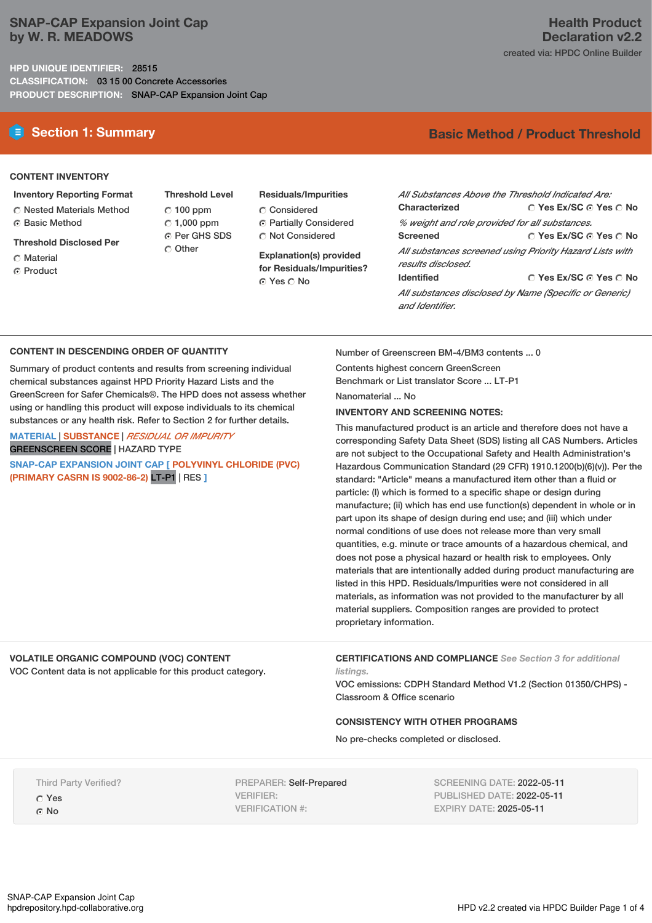### **SNAP-CAP Expansion Joint Cap by W. R. MEADOWS**

**HPD UNIQUE IDENTIFIER:** 28515 **CLASSIFICATION:** 03 15 00 Concrete Accessories **PRODUCT DESCRIPTION:** SNAP-CAP Expansion Joint Cap

## **E** Section 1: Summary **Basic Method /** Product Threshold

### **CONTENT INVENTORY**

- **Inventory Reporting Format** C Nested Materials Method
- C Basic Method
- **Threshold Disclosed Per**
- Material
- ⊙ Product

**Threshold Level**  $C$  100 ppm  $\degree$  1,000 ppm **O** Per GHS SDS C Other

**Residuals/Impurities**

- C Considered
- Partially Considered  $\bigcirc$  Not Considered

**Explanation(s) provided for Residuals/Impurities?** ⊙ Yes O No

| All Substances Above the Threshold Indicated Are:                              |                                       |  |  |  |
|--------------------------------------------------------------------------------|---------------------------------------|--|--|--|
| Characterized                                                                  | ∩ Yes Ex/SC ∩ Yes ∩ No                |  |  |  |
| % weight and role provided for all substances.                                 |                                       |  |  |  |
| Screened                                                                       | $\cap$ Yes Ex/SC $\cap$ Yes $\cap$ No |  |  |  |
| All substances screened using Priority Hazard Lists with<br>results disclosed. |                                       |  |  |  |
| <b>Identified</b>                                                              | $\cap$ Yes Ex/SC $\cap$ Yes $\cap$ No |  |  |  |
| All substances disclosed by Name (Specific or Generic)<br>and Identifier.      |                                       |  |  |  |

### **CONTENT IN DESCENDING ORDER OF QUANTITY**

Summary of product contents and results from screening individual chemical substances against HPD Priority Hazard Lists and the GreenScreen for Safer Chemicals®. The HPD does not assess whether using or handling this product will expose individuals to its chemical substances or any health risk. Refer to Section 2 for further details.

### **MATERIAL** | **SUBSTANCE** | *RESIDUAL OR IMPURITY* GREENSCREEN SCORE | HAZARD TYPE

**SNAP-CAP EXPANSION JOINT CAP [ POLYVINYL CHLORIDE (PVC) (PRIMARY CASRN IS 9002-86-2)** LT-P1 | RES **]**

Number of Greenscreen BM-4/BM3 contents ... 0

Contents highest concern GreenScreen Benchmark or List translator Score ... LT-P1

Nanomaterial ... No

### **INVENTORY AND SCREENING NOTES:**

This manufactured product is an article and therefore does not have a corresponding Safety Data Sheet (SDS) listing all CAS Numbers. Articles are not subject to the Occupational Safety and Health Administration's Hazardous Communication Standard (29 CFR) 1910.1200(b)(6)(v)). Per the standard: "Article" means a manufactured item other than a fluid or particle: (I) which is formed to a specific shape or design during manufacture; (ii) which has end use function(s) dependent in whole or in part upon its shape of design during end use; and (iii) which under normal conditions of use does not release more than very small quantities, e.g. minute or trace amounts of a hazardous chemical, and does not pose a physical hazard or health risk to employees. Only materials that are intentionally added during product manufacturing are listed in this HPD. Residuals/Impurities were not considered in all materials, as information was not provided to the manufacturer by all material suppliers. Composition ranges are provided to protect proprietary information.

### **VOLATILE ORGANIC COMPOUND (VOC) CONTENT**

VOC Content data is not applicable for this product category.

**CERTIFICATIONS AND COMPLIANCE** *See Section 3 for additional listings.*

VOC emissions: CDPH Standard Method V1.2 (Section 01350/CHPS) - Classroom & Office scenario

### **CONSISTENCY WITH OTHER PROGRAMS**

No pre-checks completed or disclosed.

Third Party Verified? Yes G No

PREPARER: Self-Prepared VERIFIER: VERIFICATION #:

SCREENING DATE: 2022-05-11 PUBLISHED DATE: 2022-05-11 EXPIRY DATE: 2025-05-11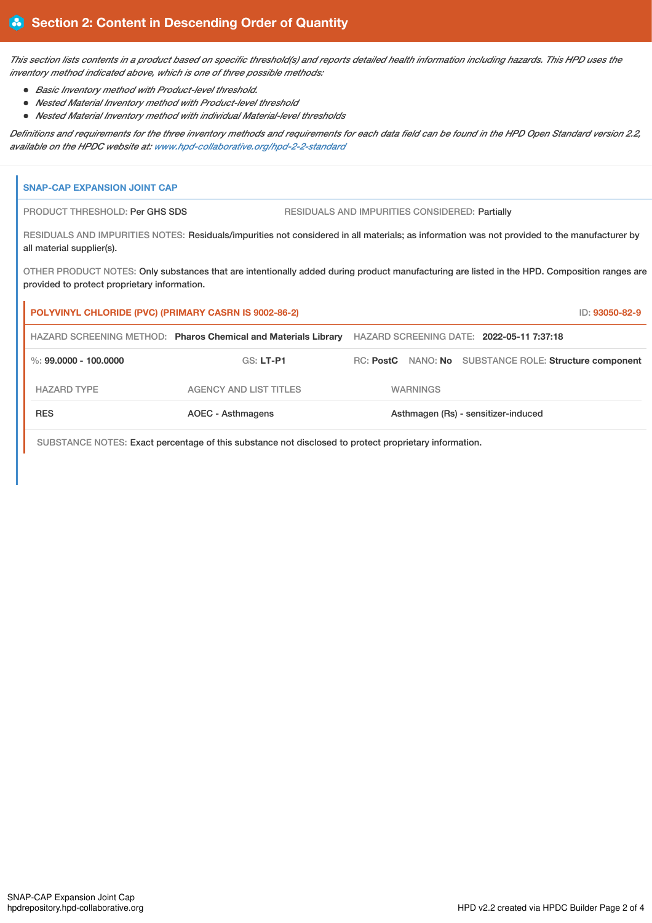This section lists contents in a product based on specific threshold(s) and reports detailed health information including hazards. This HPD uses the *inventory method indicated above, which is one of three possible methods:*

- *Basic Inventory method with Product-level threshold.*
- *Nested Material Inventory method with Product-level threshold*
- *Nested Material Inventory method with individual Material-level thresholds*

Definitions and requirements for the three inventory methods and requirements for each data field can be found in the HPD Open Standard version 2.2, *available on the HPDC website at: [www.hpd-collaborative.org/hpd-2-2-standard](https://www.hpd-collaborative.org/hpd-2-2-standard)*

# **SNAP-CAP EXPANSION JOINT CAP** PRODUCT THRESHOLD: Per GHS SDS RESIDUALS AND IMPURITIES CONSIDERED: Partially RESIDUALS AND IMPURITIES NOTES: Residuals/impurities not considered in all materials; as information was not provided to the manufacturer by all material supplier(s). OTHER PRODUCT NOTES: Only substances that are intentionally added during product manufacturing are listed in the HPD. Composition ranges are provided to protect proprietary information. **POLYVINYL CHLORIDE (PVC) (PRIMARY CASRN IS 9002-86-2)** ID: **93050-82-9** HAZARD SCREENING METHOD: **Pharos Chemical and Materials Library** HAZARD SCREENING DATE: **2022-05-11 7:37:18** %: **99.0000 - 100.0000** GS: **LT-P1** RC: **PostC** NANO: **No** SUBSTANCE ROLE: **Structure component** HAZARD TYPE AGENCY AND LIST TITLES WARNINGS RES **AOEC - Asthmagens** AOEC - Asthmagens Asthmagen (Rs) - sensitizer-induced

SUBSTANCE NOTES: Exact percentage of this substance not disclosed to protect proprietary information.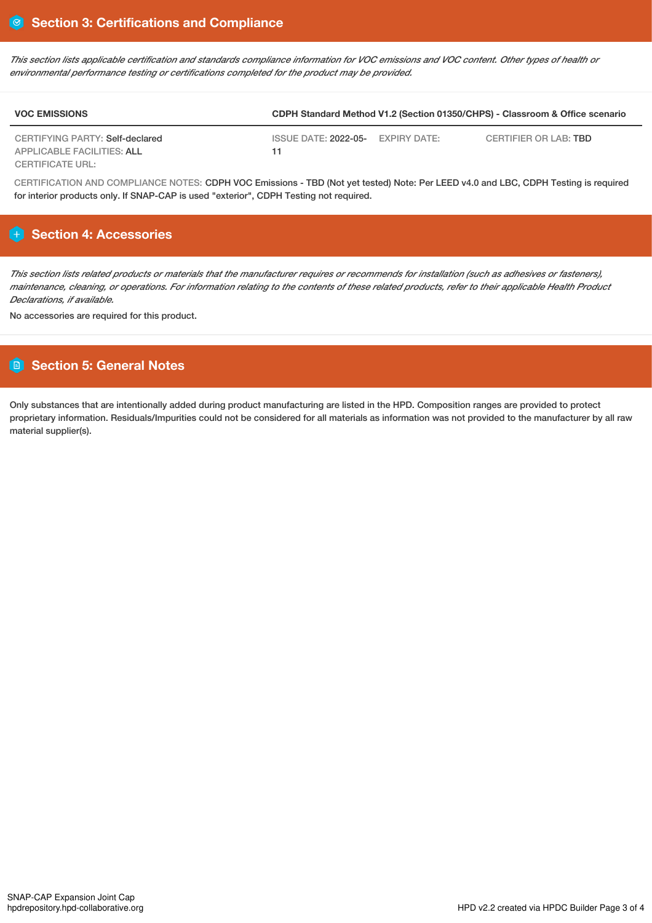This section lists applicable certification and standards compliance information for VOC emissions and VOC content. Other types of health or *environmental performance testing or certifications completed for the product may be provided.*

| <b>VOC EMISSIONS</b>              | CDPH Standard Method V1.2 (Section 01350/CHPS) - Classroom & Office scenario |              |                              |
|-----------------------------------|------------------------------------------------------------------------------|--------------|------------------------------|
| CERTIFYING PARTY: Self-declared   | ISSUE DATE: 2022-05-                                                         | EXPIRY DATE: | CERTIFIER OR LAB: <b>TBD</b> |
| <b>APPLICABLE FACILITIES: ALL</b> | 11                                                                           |              |                              |
| CERTIFICATE URL:                  |                                                                              |              |                              |

CERTIFICATION AND COMPLIANCE NOTES: CDPH VOC Emissions - TBD (Not yet tested) Note: Per LEED v4.0 and LBC, CDPH Testing is required for interior products only. If SNAP-CAP is used "exterior", CDPH Testing not required.

### **Section 4: Accessories**

This section lists related products or materials that the manufacturer requires or recommends for installation (such as adhesives or fasteners). maintenance, cleaning, or operations. For information relating to the contents of these related products, refer to their applicable Health Product *Declarations, if available.*

No accessories are required for this product.

### **Section 5: General Notes**

Only substances that are intentionally added during product manufacturing are listed in the HPD. Composition ranges are provided to protect proprietary information. Residuals/Impurities could not be considered for all materials as information was not provided to the manufacturer by all raw material supplier(s).